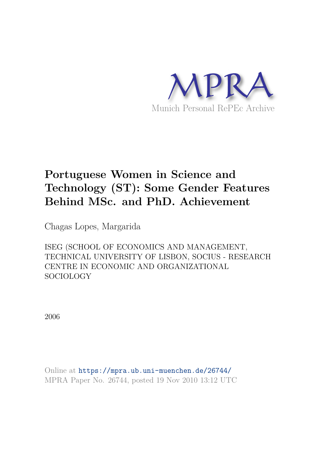

# **Portuguese Women in Science and Technology (ST): Some Gender Features Behind MSc. and PhD. Achievement**

Chagas Lopes, Margarida

ISEG (SCHOOL OF ECONOMICS AND MANAGEMENT, TECHNICAL UNIVERSITY OF LISBON, SOCIUS - RESEARCH CENTRE IN ECONOMIC AND ORGANIZATIONAL SOCIOLOGY

2006

Online at https://mpra.ub.uni-muenchen.de/26744/ MPRA Paper No. 26744, posted 19 Nov 2010 13:12 UTC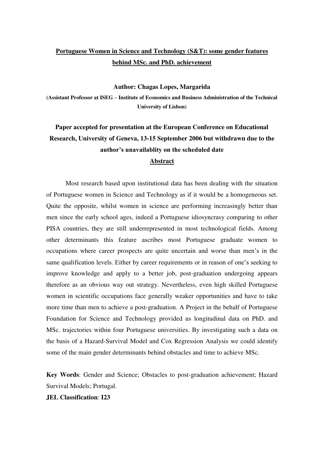## **Portuguese Women in Science and Technology (S&T): some gender features behind MSc. and PhD. achievement**

**Author: Chagas Lopes, Margarida** 

**(Assistant Professor at ISEG – Institute of Economics and Business Administration of the Technical University of Lisbon)** 

# **Paper accepted for presentation at the European Conference on Educational Research, University of Geneva, 13-15 September 2006 but withdrawn due to the author's unavailablity on the scheduled date Abstract**

 Most research based upon institutional data has been dealing with the situation of Portuguese women in Science and Technology as if it would be a homogeneous set. Quite the opposite, whilst women in science are performing increasingly better than men since the early school ages, indeed a Portuguese idiosyncrasy comparing to other PISA countries, they are still underrepresented in most technological fields. Among other determinants this feature ascribes most Portuguese graduate women to occupations where career prospects are quite uncertain and worse than men's in the same qualification levels. Either by career requirements or in reason of one's seeking to improve knowledge and apply to a better job, post-graduation undergoing appears therefore as an obvious way out strategy. Nevertheless, even high skilled Portuguese women in scientific occupations face generally weaker opportunities and have to take more time than men to achieve a post-graduation. A Project in the behalf of Portuguese Foundation for Science and Technology provided us longitudinal data on PhD. and MSc. trajectories within four Portuguese universities. By investigating such a data on the basis of a Hazard-Survival Model and Cox Regression Analysis we could identify some of the main gender determinants behind obstacles and time to achieve MSc.

**Key Words**: Gender and Science; Obstacles to post-graduation achievement; Hazard Survival Models; Portugal.

#### **JEL Classification**: **I23**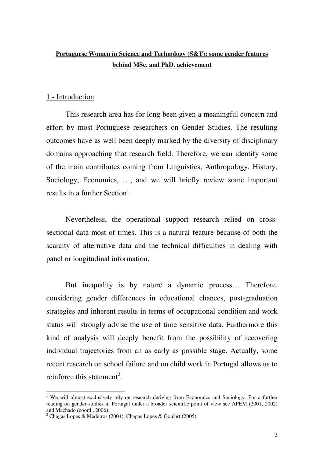# **Portuguese Women in Science and Technology (S&T): some gender features behind MSc. and PhD. achievement**

#### 1.- Introduction

 This research area has for long been given a meaningful concern and effort by most Portuguese researchers on Gender Studies. The resulting outcomes have as well been deeply marked by the diversity of disciplinary domains approaching that research field. Therefore, we can identify some of the main contributes coming from Linguistics, Anthropology, History, Sociology, Economics, …, and we will briefly review some important results in a further Section<sup>1</sup>.

 Nevertheless, the operational support research relied on crosssectional data most of times. This is a natural feature because of both the scarcity of alternative data and the technical difficulties in dealing with panel or longitudinal information.

But inequality is by nature a dynamic process… Therefore, considering gender differences in educational chances, post-graduation strategies and inherent results in terms of occupational condition and work status will strongly advise the use of time sensitive data. Furthermore this kind of analysis will deeply benefit from the possibility of recovering individual trajectories from an as early as possible stage. Actually, some recent research on school failure and on child work in Portugal allows us to reinforce this statement<sup>2</sup>.

<sup>&</sup>lt;sup>1</sup> We will almost exclusively rely on research deriving from Economics and Sociology. For a further reading on gender studies in Portugal under a broader scientific point of view see APEM (2001, 2002) and Machado (coord., 2006).

<sup>&</sup>lt;sup>2</sup> Chagas Lopes & Medeiros (2004); Chagas Lopes & Goulart (2005).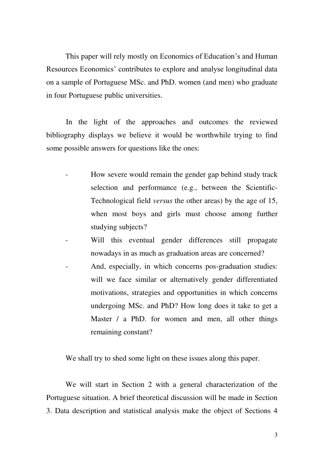This paper will rely mostly on Economics of Education's and Human Resources Economics' contributes to explore and analyse longitudinal data on a sample of Portuguese MSc. and PhD. women (and men) who graduate in four Portuguese public universities.

In the light of the approaches and outcomes the reviewed bibliography displays we believe it would be worthwhile trying to find some possible answers for questions like the ones:

- How severe would remain the gender gap behind study track selection and performance (e.g., between the Scientific-Technological field *versus* the other areas) by the age of 15, when most boys and girls must choose among further studying subjects?
- Will this eventual gender differences still propagate nowadays in as much as graduation areas are concerned?
- And, especially, in which concerns pos-graduation studies: will we face similar or alternatively gender differentiated motivations, strategies and opportunities in which concerns undergoing MSc. and PhD? How long does it take to get a Master / a PhD. for women and men, all other things remaining constant?

We shall try to shed some light on these issues along this paper.

We will start in Section 2 with a general characterization of the Portuguese situation. A brief theoretical discussion will be made in Section 3. Data description and statistical analysis make the object of Sections 4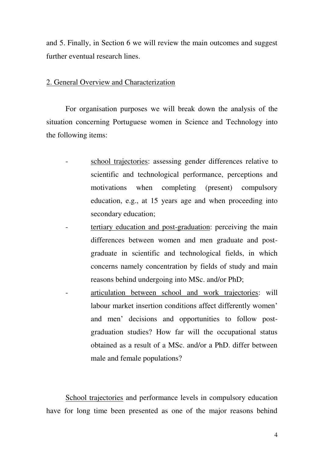and 5. Finally, in Section 6 we will review the main outcomes and suggest further eventual research lines.

#### 2. General Overview and Characterization

 For organisation purposes we will break down the analysis of the situation concerning Portuguese women in Science and Technology into the following items:

- school trajectories: assessing gender differences relative to scientific and technological performance, perceptions and motivations when completing (present) compulsory education, e.g., at 15 years age and when proceeding into secondary education;
- tertiary education and post-graduation: perceiving the main differences between women and men graduate and postgraduate in scientific and technological fields, in which concerns namely concentration by fields of study and main reasons behind undergoing into MSc. and/or PhD;
- articulation between school and work trajectories: will labour market insertion conditions affect differently women' and men' decisions and opportunities to follow postgraduation studies? How far will the occupational status obtained as a result of a MSc. and/or a PhD. differ between male and female populations?

School trajectories and performance levels in compulsory education have for long time been presented as one of the major reasons behind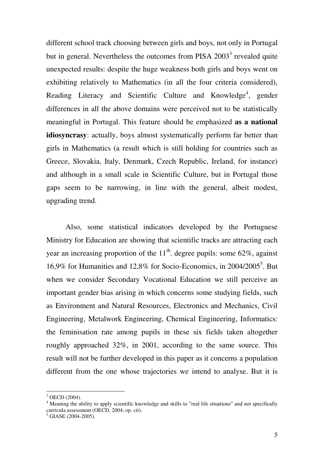different school track choosing between girls and boys, not only in Portugal but in general. Nevertheless the outcomes from PISA  $2003<sup>3</sup>$  revealed quite unexpected results: despite the huge weakness both girls and boys went on exhibiting relatively to Mathematics (in all the four criteria considered), Reading Literacy and Scientific Culture and Knowledge<sup>4</sup>, gender differences in all the above domains were perceived not to be statistically meaningful in Portugal. This feature should be emphasized **as a national idiosyncrasy**: actually, boys almost systematically perform far better than girls in Mathematics (a result which is still holding for countries such as Greece, Slovakia, Italy, Denmark, Czech Republic, Ireland, for instance) and although in a small scale in Scientific Culture, but in Portugal those gaps seem to be narrowing, in line with the general, albeit modest, upgrading trend.

Also, some statistical indicators developed by the Portuguese Ministry for Education are showing that scientific tracks are attracting each year an increasing proportion of the  $11<sup>th</sup>$ . degree pupils: some 62%, against 16,9% for Humanities and 12,8% for Socio-Economics, in 2004/2005<sup>5</sup> . But when we consider Secondary Vocational Education we still perceive an important gender bias arising in which concerns some studying fields, such as Environment and Natural Resources, Electronics and Mechanics, Civil Engineering, Metalwork Engineering, Chemical Engineering, Informatics: the feminisation rate among pupils in these six fields taken altogether roughly approached 32%, in 2001, according to the same source. This result will not be further developed in this paper as it concerns a population different from the one whose trajectories we intend to analyse. But it is

<sup>&</sup>lt;sup>3</sup> OECD (2004).

<sup>&</sup>lt;sup>4</sup> Meaning the ability to apply scientific knowledge and skills to "real life situations" and not specifically curricula assessment (OECD, 2004, op. cit).

 $<sup>5</sup>$  GIASE (2004-2005).</sup>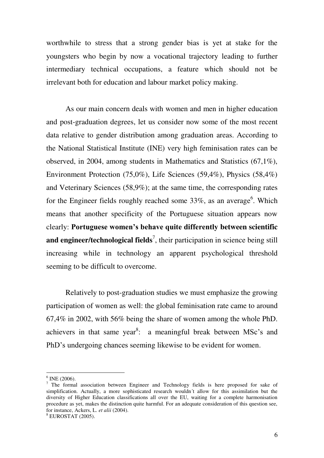worthwhile to stress that a strong gender bias is yet at stake for the youngsters who begin by now a vocational trajectory leading to further intermediary technical occupations, a feature which should not be irrelevant both for education and labour market policy making.

As our main concern deals with women and men in higher education and post-graduation degrees, let us consider now some of the most recent data relative to gender distribution among graduation areas. According to the National Statistical Institute (INE) very high feminisation rates can be observed, in 2004, among students in Mathematics and Statistics (67,1%), Environment Protection (75,0%), Life Sciences (59,4%), Physics (58,4%) and Veterinary Sciences (58,9%); at the same time, the corresponding rates for the Engineer fields roughly reached some  $33\%$ , as an average<sup>6</sup>. Which means that another specificity of the Portuguese situation appears now clearly: **Portuguese women's behave quite differently between scientific**  and engineer/technological fields<sup>7</sup>, their participation in science being still increasing while in technology an apparent psychological threshold seeming to be difficult to overcome.

Relatively to post-graduation studies we must emphasize the growing participation of women as well: the global feminisation rate came to around 67,4% in 2002, with 56% being the share of women among the whole PhD. achievers in that same year<sup>8</sup>: a meaningful break between MSc's and PhD's undergoing chances seeming likewise to be evident for women.

 $6$  INE (2006).

 $7$  The formal association between Engineer and Technology fields is here proposed for sake of simplification. Actually, a more sophisticated research wouldn´t allow for this assimilation but the diversity of Higher Education classifications all over the EU, waiting for a complete harmonisation procedure as yet, makes the distinction quite harmful. For an adequate consideration of this question see, for instance, Ackers, L. *et alii* (2004).

<sup>8</sup> EUROSTAT (2005).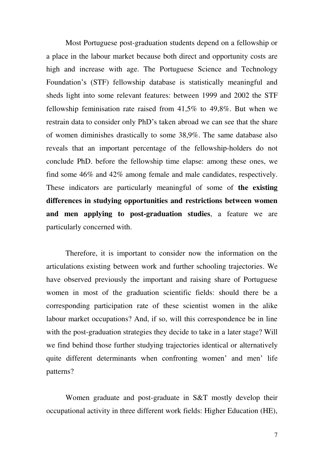Most Portuguese post-graduation students depend on a fellowship or a place in the labour market because both direct and opportunity costs are high and increase with age. The Portuguese Science and Technology Foundation's (STF) fellowship database is statistically meaningful and sheds light into some relevant features: between 1999 and 2002 the STF fellowship feminisation rate raised from 41,5% to 49,8%. But when we restrain data to consider only PhD's taken abroad we can see that the share of women diminishes drastically to some 38,9%. The same database also reveals that an important percentage of the fellowship-holders do not conclude PhD. before the fellowship time elapse: among these ones, we find some 46% and 42% among female and male candidates, respectively. These indicators are particularly meaningful of some of **the existing differences in studying opportunities and restrictions between women and men applying to post-graduation studies**, a feature we are particularly concerned with.

Therefore, it is important to consider now the information on the articulations existing between work and further schooling trajectories. We have observed previously the important and raising share of Portuguese women in most of the graduation scientific fields: should there be a corresponding participation rate of these scientist women in the alike labour market occupations? And, if so, will this correspondence be in line with the post-graduation strategies they decide to take in a later stage? Will we find behind those further studying trajectories identical or alternatively quite different determinants when confronting women' and men' life patterns?

Women graduate and post-graduate in S&T mostly develop their occupational activity in three different work fields: Higher Education (HE),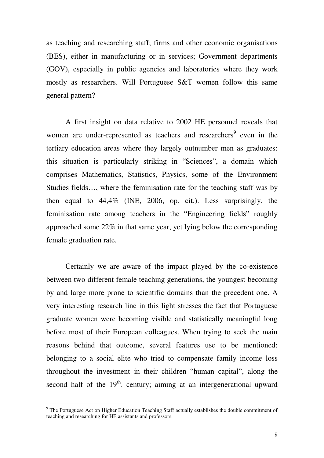as teaching and researching staff; firms and other economic organisations (BES), either in manufacturing or in services; Government departments (GOV), especially in public agencies and laboratories where they work mostly as researchers. Will Portuguese S&T women follow this same general pattern?

A first insight on data relative to 2002 HE personnel reveals that women are under-represented as teachers and researchers<sup>9</sup> even in the tertiary education areas where they largely outnumber men as graduates: this situation is particularly striking in "Sciences", a domain which comprises Mathematics, Statistics, Physics, some of the Environment Studies fields…, where the feminisation rate for the teaching staff was by then equal to 44,4% (INE, 2006, op. cit.). Less surprisingly, the feminisation rate among teachers in the "Engineering fields" roughly approached some 22% in that same year, yet lying below the corresponding female graduation rate.

Certainly we are aware of the impact played by the co-existence between two different female teaching generations, the youngest becoming by and large more prone to scientific domains than the precedent one. A very interesting research line in this light stresses the fact that Portuguese graduate women were becoming visible and statistically meaningful long before most of their European colleagues. When trying to seek the main reasons behind that outcome, several features use to be mentioned: belonging to a social elite who tried to compensate family income loss throughout the investment in their children "human capital", along the second half of the  $19<sup>th</sup>$ . century; aiming at an intergenerational upward

<sup>&</sup>lt;sup>9</sup> The Portuguese Act on Higher Education Teaching Staff actually establishes the double commitment of teaching and researching for HE assistants and professors.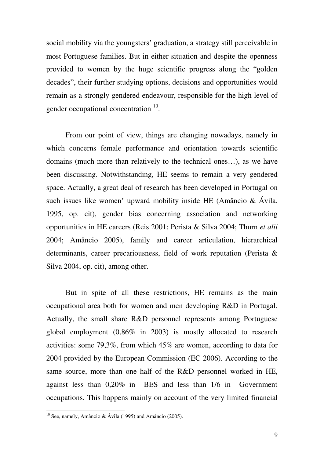social mobility via the youngsters' graduation, a strategy still perceivable in most Portuguese families. But in either situation and despite the openness provided to women by the huge scientific progress along the "golden decades", their further studying options, decisions and opportunities would remain as a strongly gendered endeavour, responsible for the high level of gender occupational concentration <sup>10</sup>.

From our point of view, things are changing nowadays, namely in which concerns female performance and orientation towards scientific domains (much more than relatively to the technical ones…), as we have been discussing. Notwithstanding, HE seems to remain a very gendered space. Actually, a great deal of research has been developed in Portugal on such issues like women' upward mobility inside HE (Amâncio & Ávila, 1995, op. cit), gender bias concerning association and networking opportunities in HE careers (Reis 2001; Perista & Silva 2004; Thurn *et alii*  2004; Amâncio 2005), family and career articulation, hierarchical determinants, career precariousness, field of work reputation (Perista & Silva 2004, op. cit), among other.

But in spite of all these restrictions, HE remains as the main occupational area both for women and men developing R&D in Portugal. Actually, the small share R&D personnel represents among Portuguese global employment (0,86% in 2003) is mostly allocated to research activities: some 79,3%, from which 45% are women, according to data for 2004 provided by the European Commission (EC 2006). According to the same source, more than one half of the R&D personnel worked in HE, against less than 0,20% in BES and less than 1/6 in Government occupations. This happens mainly on account of the very limited financial

<sup>&</sup>lt;sup>10</sup> See, namely, Amâncio & Ávila (1995) and Amâncio (2005).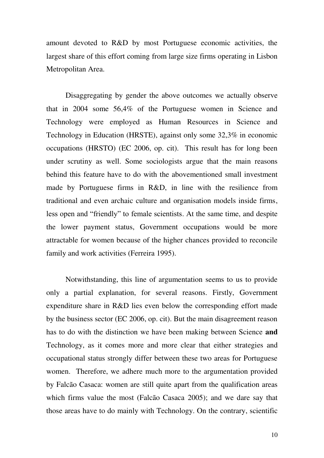amount devoted to R&D by most Portuguese economic activities, the largest share of this effort coming from large size firms operating in Lisbon Metropolitan Area.

Disaggregating by gender the above outcomes we actually observe that in 2004 some 56,4% of the Portuguese women in Science and Technology were employed as Human Resources in Science and Technology in Education (HRSTE), against only some 32,3% in economic occupations (HRSTO) (EC 2006, op. cit). This result has for long been under scrutiny as well. Some sociologists argue that the main reasons behind this feature have to do with the abovementioned small investment made by Portuguese firms in R&D, in line with the resilience from traditional and even archaic culture and organisation models inside firms, less open and "friendly" to female scientists. At the same time, and despite the lower payment status, Government occupations would be more attractable for women because of the higher chances provided to reconcile family and work activities (Ferreira 1995).

Notwithstanding, this line of argumentation seems to us to provide only a partial explanation, for several reasons. Firstly, Government expenditure share in R&D lies even below the corresponding effort made by the business sector (EC 2006, op. cit). But the main disagreement reason has to do with the distinction we have been making between Science **and**  Technology, as it comes more and more clear that either strategies and occupational status strongly differ between these two areas for Portuguese women. Therefore, we adhere much more to the argumentation provided by Falcão Casaca: women are still quite apart from the qualification areas which firms value the most (Falcão Casaca 2005); and we dare say that those areas have to do mainly with Technology. On the contrary, scientific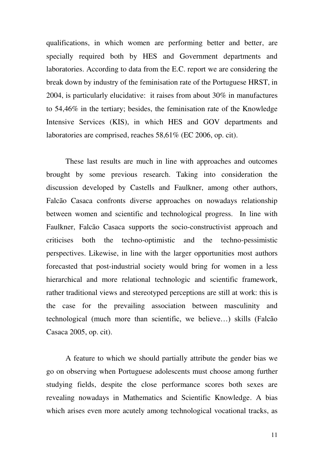qualifications, in which women are performing better and better, are specially required both by HES and Government departments and laboratories. According to data from the E.C. report we are considering the break down by industry of the feminisation rate of the Portuguese HRST, in 2004, is particularly elucidative: it raises from about 30% in manufactures to 54,46% in the tertiary; besides, the feminisation rate of the Knowledge Intensive Services (KIS), in which HES and GOV departments and laboratories are comprised, reaches 58,61% (EC 2006, op. cit).

These last results are much in line with approaches and outcomes brought by some previous research. Taking into consideration the discussion developed by Castells and Faulkner, among other authors, Falcão Casaca confronts diverse approaches on nowadays relationship between women and scientific and technological progress. In line with Faulkner, Falcão Casaca supports the socio-constructivist approach and criticises both the techno-optimistic and the techno-pessimistic perspectives. Likewise, in line with the larger opportunities most authors forecasted that post-industrial society would bring for women in a less hierarchical and more relational technologic and scientific framework, rather traditional views and stereotyped perceptions are still at work: this is the case for the prevailing association between masculinity and technological (much more than scientific, we believe…) skills (Falcão Casaca 2005, op. cit).

A feature to which we should partially attribute the gender bias we go on observing when Portuguese adolescents must choose among further studying fields, despite the close performance scores both sexes are revealing nowadays in Mathematics and Scientific Knowledge. A bias which arises even more acutely among technological vocational tracks, as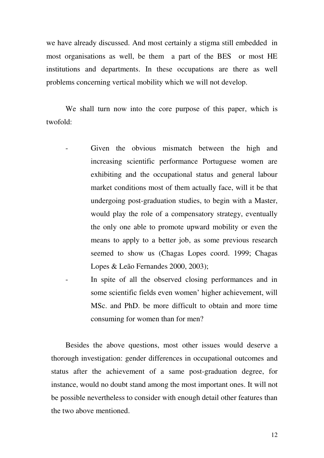we have already discussed. And most certainly a stigma still embedded in most organisations as well, be them a part of the BES or most HE institutions and departments. In these occupations are there as well problems concerning vertical mobility which we will not develop.

We shall turn now into the core purpose of this paper, which is twofold:

- Given the obvious mismatch between the high and increasing scientific performance Portuguese women are exhibiting and the occupational status and general labour market conditions most of them actually face, will it be that undergoing post-graduation studies, to begin with a Master, would play the role of a compensatory strategy, eventually the only one able to promote upward mobility or even the means to apply to a better job, as some previous research seemed to show us (Chagas Lopes coord. 1999; Chagas Lopes & Leão Fernandes 2000, 2003);
- In spite of all the observed closing performances and in some scientific fields even women' higher achievement, will MSc. and PhD. be more difficult to obtain and more time consuming for women than for men?

Besides the above questions, most other issues would deserve a thorough investigation: gender differences in occupational outcomes and status after the achievement of a same post-graduation degree, for instance, would no doubt stand among the most important ones. It will not be possible nevertheless to consider with enough detail other features than the two above mentioned.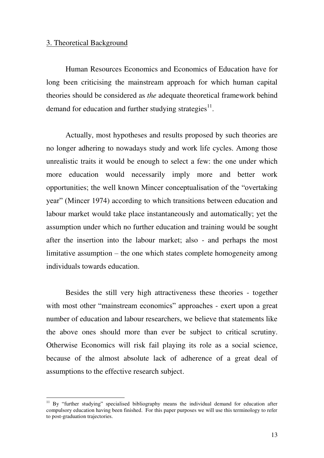#### 3. Theoretical Background

<u>.</u>

 Human Resources Economics and Economics of Education have for long been criticising the mainstream approach for which human capital theories should be considered as *the* adequate theoretical framework behind demand for education and further studying strategies $^{11}$ .

 Actually, most hypotheses and results proposed by such theories are no longer adhering to nowadays study and work life cycles. Among those unrealistic traits it would be enough to select a few: the one under which more education would necessarily imply more and better work opportunities; the well known Mincer conceptualisation of the "overtaking year" (Mincer 1974) according to which transitions between education and labour market would take place instantaneously and automatically; yet the assumption under which no further education and training would be sought after the insertion into the labour market; also - and perhaps the most limitative assumption – the one which states complete homogeneity among individuals towards education.

 Besides the still very high attractiveness these theories - together with most other "mainstream economics" approaches - exert upon a great number of education and labour researchers, we believe that statements like the above ones should more than ever be subject to critical scrutiny. Otherwise Economics will risk fail playing its role as a social science, because of the almost absolute lack of adherence of a great deal of assumptions to the effective research subject.

<sup>&</sup>lt;sup>11</sup> By "further studying" specialised bibliography means the individual demand for education after compulsory education having been finished. For this paper purposes we will use this terminology to refer to post-graduation trajectories.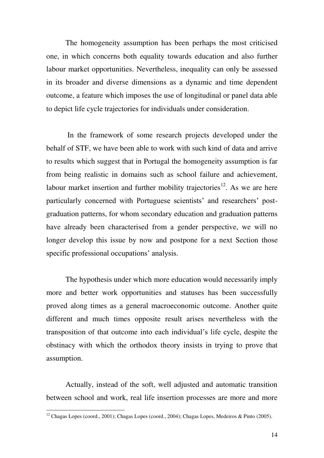The homogeneity assumption has been perhaps the most criticised one, in which concerns both equality towards education and also further labour market opportunities. Nevertheless, inequality can only be assessed in its broader and diverse dimensions as a dynamic and time dependent outcome, a feature which imposes the use of longitudinal or panel data able to depict life cycle trajectories for individuals under consideration.

 In the framework of some research projects developed under the behalf of STF, we have been able to work with such kind of data and arrive to results which suggest that in Portugal the homogeneity assumption is far from being realistic in domains such as school failure and achievement, labour market insertion and further mobility trajectories<sup>12</sup>. As we are here particularly concerned with Portuguese scientists' and researchers' postgraduation patterns, for whom secondary education and graduation patterns have already been characterised from a gender perspective, we will no longer develop this issue by now and postpone for a next Section those specific professional occupations' analysis.

 The hypothesis under which more education would necessarily imply more and better work opportunities and statuses has been successfully proved along times as a general macroeconomic outcome. Another quite different and much times opposite result arises nevertheless with the transposition of that outcome into each individual's life cycle, despite the obstinacy with which the orthodox theory insists in trying to prove that assumption.

 Actually, instead of the soft, well adjusted and automatic transition between school and work, real life insertion processes are more and more

 $12$  Chagas Lopes (coord., 2001); Chagas Lopes (coord., 2004); Chagas Lopes, Medeiros & Pinto (2005).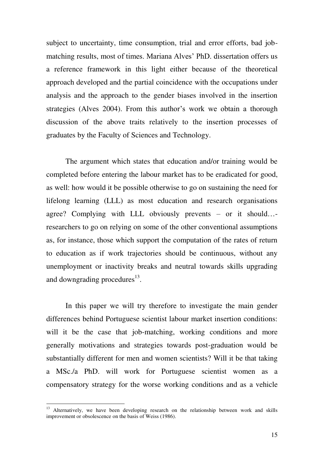subject to uncertainty, time consumption, trial and error efforts, bad jobmatching results, most of times. Mariana Alves' PhD. dissertation offers us a reference framework in this light either because of the theoretical approach developed and the partial coincidence with the occupations under analysis and the approach to the gender biases involved in the insertion strategies (Alves 2004). From this author's work we obtain a thorough discussion of the above traits relatively to the insertion processes of graduates by the Faculty of Sciences and Technology.

The argument which states that education and/or training would be completed before entering the labour market has to be eradicated for good, as well: how would it be possible otherwise to go on sustaining the need for lifelong learning (LLL) as most education and research organisations agree? Complying with LLL obviously prevents – or it should… researchers to go on relying on some of the other conventional assumptions as, for instance, those which support the computation of the rates of return to education as if work trajectories should be continuous, without any unemployment or inactivity breaks and neutral towards skills upgrading and downgrading procedures<sup>13</sup>.

 In this paper we will try therefore to investigate the main gender differences behind Portuguese scientist labour market insertion conditions: will it be the case that job-matching, working conditions and more generally motivations and strategies towards post-graduation would be substantially different for men and women scientists? Will it be that taking a MSc./a PhD. will work for Portuguese scientist women as a compensatory strategy for the worse working conditions and as a vehicle

<sup>&</sup>lt;sup>13</sup> Alternatively, we have been developing research on the relationship between work and skills improvement or obsolescence on the basis of Weiss (1986).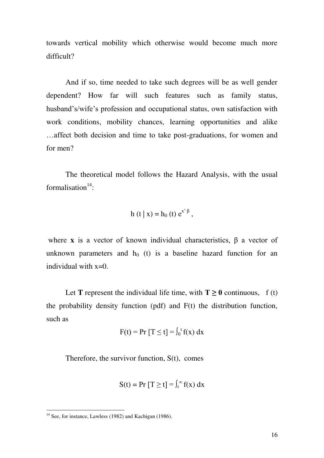towards vertical mobility which otherwise would become much more difficult?

 And if so, time needed to take such degrees will be as well gender dependent? How far will such features such as family status, husband's/wife's profession and occupational status, own satisfaction with work conditions, mobility chances, learning opportunities and alike …affect both decision and time to take post-graduations, for women and for men?

 The theoretical model follows the Hazard Analysis, with the usual formalisation $14$ :

$$
h (t | x) = h_0 (t) e^{x^2 \beta},
$$

where **x** is a vector of known individual characteristics,  $\beta$  a vector of unknown parameters and  $h_0$  (t) is a baseline hazard function for an individual with  $x=0$ .

Let **T** represent the individual life time, with  $T \ge 0$  continuous, f (t) the probability density function (pdf) and F(t) the distribution function, such as

$$
F(t) = Pr [T \le t] = \int_0^t f(x) dx
$$

Therefore, the survivor function, S(t), comes

$$
S(t) = Pr [T \ge t] = \int_{t}^{\infty} f(x) dx
$$

 $14$  See, for instance, Lawless (1982) and Kachigan (1986).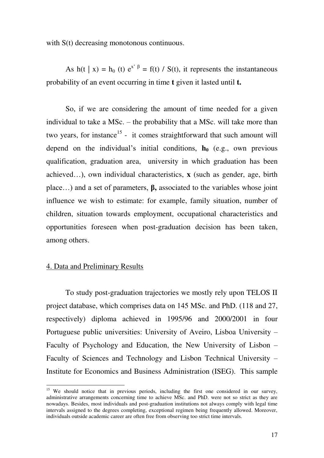with S(t) decreasing monotonous continuous.

As h(t | x) = h<sub>0</sub> (t)  $e^{x^2 \beta} = f(t) / S(t)$ , it represents the instantaneous probability of an event occurring in time **t** given it lasted until **t.**

 So, if we are considering the amount of time needed for a given individual to take a MSc. – the probability that a MSc. will take more than two years, for instance<sup>15</sup> - it comes straightforward that such amount will depend on the individual's initial conditions,  $h_0$  (e.g., own previous qualification, graduation area, university in which graduation has been achieved…), own individual characteristics, **x** (such as gender, age, birth place…) and a set of parameters, **β,** associated to the variables whose joint influence we wish to estimate: for example, family situation, number of children, situation towards employment, occupational characteristics and opportunities foreseen when post-graduation decision has been taken, among others.

#### 4. Data and Preliminary Results

<u>.</u>

 To study post-graduation trajectories we mostly rely upon TELOS II project database, which comprises data on 145 MSc. and PhD. (118 and 27, respectively) diploma achieved in 1995/96 and 2000/2001 in four Portuguese public universities: University of Aveiro, Lisboa University – Faculty of Psychology and Education, the New University of Lisbon – Faculty of Sciences and Technology and Lisbon Technical University – Institute for Economics and Business Administration (ISEG). This sample

<sup>&</sup>lt;sup>15</sup> We should notice that in previous periods, including the first one considered in our survey, administrative arrangements concerning time to achieve MSc. and PhD. were not so strict as they are nowadays. Besides, most individuals and post-graduation institutions not always comply with legal time intervals assigned to the degrees completing, exceptional regimen being frequently allowed. Moreover, individuals outside academic career are often free from observing too strict time intervals.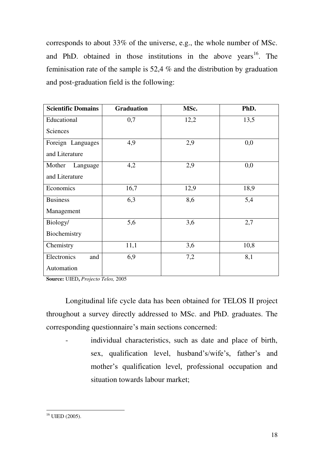corresponds to about 33% of the universe, e.g., the whole number of MSc. and PhD. obtained in those institutions in the above years<sup>16</sup>. The feminisation rate of the sample is 52,4 % and the distribution by graduation and post-graduation field is the following:

| <b>Scientific Domains</b> | <b>Graduation</b> | MSc. | PhD. |  |
|---------------------------|-------------------|------|------|--|
| Educational               | 0,7               | 12,2 | 13,5 |  |
| Sciences                  |                   |      |      |  |
| Foreign Languages         | 4,9               | 2,9  | 0,0  |  |
| and Literature            |                   |      |      |  |
| Mother<br>Language        | 4,2               | 2,9  | 0,0  |  |
| and Literature            |                   |      |      |  |
| Economics                 | 16,7              | 12,9 | 18,9 |  |
| <b>Business</b>           | 6,3               | 8,6  | 5,4  |  |
| Management                |                   |      |      |  |
| Biology/                  | 5,6               | 3,6  | 2,7  |  |
| Biochemistry              |                   |      |      |  |
| Chemistry                 | 11,1              | 3,6  | 10,8 |  |
| Electronics<br>and        | 6,9               | 7,2  | 8,1  |  |
| Automation                |                   |      |      |  |

**Source:** UIED**,** *Projecto Telos,* 2005

 Longitudinal life cycle data has been obtained for TELOS II project throughout a survey directly addressed to MSc. and PhD. graduates. The corresponding questionnaire's main sections concerned:

individual characteristics, such as date and place of birth, sex, qualification level, husband's/wife's, father's and mother's qualification level, professional occupation and situation towards labour market;

<sup>&</sup>lt;u>.</u>  $^{16}$  UIED (2005).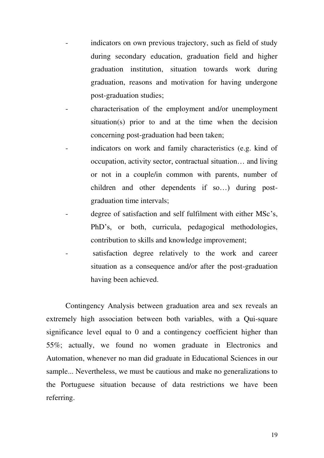- indicators on own previous trajectory, such as field of study during secondary education, graduation field and higher graduation institution, situation towards work during graduation, reasons and motivation for having undergone post-graduation studies;
- characterisation of the employment and/or unemployment situation(s) prior to and at the time when the decision concerning post-graduation had been taken;
- indicators on work and family characteristics (e.g. kind of occupation, activity sector, contractual situation… and living or not in a couple/in common with parents, number of children and other dependents if so…) during postgraduation time intervals;
- degree of satisfaction and self fulfilment with either MSc's, PhD's, or both, curricula, pedagogical methodologies, contribution to skills and knowledge improvement;
- satisfaction degree relatively to the work and career situation as a consequence and/or after the post-graduation having been achieved.

 Contingency Analysis between graduation area and sex reveals an extremely high association between both variables, with a Qui-square significance level equal to 0 and a contingency coefficient higher than 55%; actually, we found no women graduate in Electronics and Automation, whenever no man did graduate in Educational Sciences in our sample... Nevertheless, we must be cautious and make no generalizations to the Portuguese situation because of data restrictions we have been referring.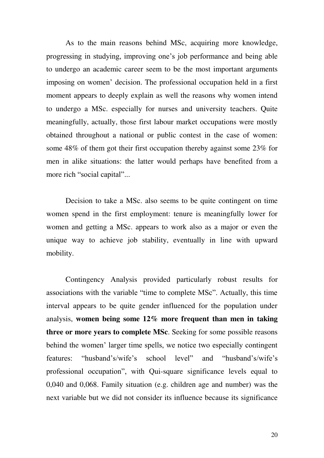As to the main reasons behind MSc, acquiring more knowledge, progressing in studying, improving one's job performance and being able to undergo an academic career seem to be the most important arguments imposing on women' decision. The professional occupation held in a first moment appears to deeply explain as well the reasons why women intend to undergo a MSc. especially for nurses and university teachers. Quite meaningfully, actually, those first labour market occupations were mostly obtained throughout a national or public contest in the case of women: some 48% of them got their first occupation thereby against some 23% for men in alike situations: the latter would perhaps have benefited from a more rich "social capital"...

Decision to take a MSc. also seems to be quite contingent on time women spend in the first employment: tenure is meaningfully lower for women and getting a MSc. appears to work also as a major or even the unique way to achieve job stability, eventually in line with upward mobility.

 Contingency Analysis provided particularly robust results for associations with the variable "time to complete MSc". Actually, this time interval appears to be quite gender influenced for the population under analysis, **women being some 12% more frequent than men in taking three or more years to complete MSc**. Seeking for some possible reasons behind the women' larger time spells, we notice two especially contingent features: "husband's/wife's school level" and "husband's/wife's professional occupation", with Qui-square significance levels equal to 0,040 and 0,068. Family situation (e.g. children age and number) was the next variable but we did not consider its influence because its significance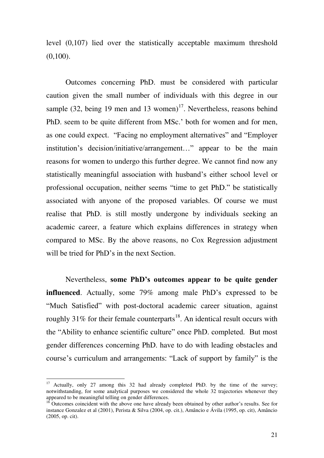level (0,107) lied over the statistically acceptable maximum threshold  $(0,100)$ .

 Outcomes concerning PhD. must be considered with particular caution given the small number of individuals with this degree in our sample  $(32, \text{being } 19 \text{ men and } 13 \text{ women})^{17}$ . Nevertheless, reasons behind PhD. seem to be quite different from MSc.' both for women and for men, as one could expect. "Facing no employment alternatives" and "Employer institution's decision/initiative/arrangement…" appear to be the main reasons for women to undergo this further degree. We cannot find now any statistically meaningful association with husband's either school level or professional occupation, neither seems "time to get PhD." be statistically associated with anyone of the proposed variables. Of course we must realise that PhD. is still mostly undergone by individuals seeking an academic career, a feature which explains differences in strategy when compared to MSc. By the above reasons, no Cox Regression adjustment will be tried for PhD's in the next Section.

 Nevertheless, **some PhD's outcomes appear to be quite gender influenced**. Actually, some 79% among male PhD's expressed to be "Much Satisfied" with post-doctoral academic career situation, against roughly 31% for their female counterparts<sup>18</sup>. An identical result occurs with the "Ability to enhance scientific culture" once PhD. completed. But most gender differences concerning PhD. have to do with leading obstacles and course's curriculum and arrangements: "Lack of support by family" is the

-

<sup>&</sup>lt;sup>17</sup> Actually, only 27 among this 32 had already completed PhD. by the time of the survey; notwithstanding, for some analytical purposes we considered the whole 32 trajectories whenever they appeared to be meaningful telling on gender differences.

 $18$  Outcomes coincident with the above one have already been obtained by other author's results. See for instance Gonzalez et al (2001), Perista & Silva (2004, op. cit.), Amâncio e Ávila (1995, op. cit), Amâncio (2005, op. cit).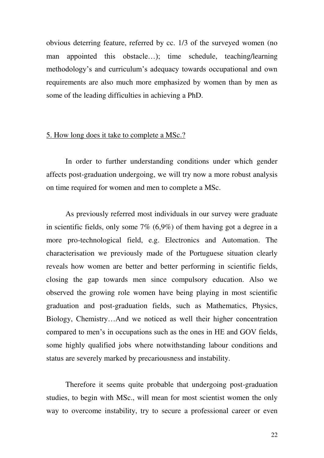obvious deterring feature, referred by cc. 1/3 of the surveyed women (no man appointed this obstacle…); time schedule, teaching/learning methodology's and curriculum's adequacy towards occupational and own requirements are also much more emphasized by women than by men as some of the leading difficulties in achieving a PhD.

#### 5. How long does it take to complete a MSc.?

 In order to further understanding conditions under which gender affects post-graduation undergoing, we will try now a more robust analysis on time required for women and men to complete a MSc.

 As previously referred most individuals in our survey were graduate in scientific fields, only some 7% (6,9%) of them having got a degree in a more pro-technological field, e.g. Electronics and Automation. The characterisation we previously made of the Portuguese situation clearly reveals how women are better and better performing in scientific fields, closing the gap towards men since compulsory education. Also we observed the growing role women have being playing in most scientific graduation and post-graduation fields, such as Mathematics, Physics, Biology, Chemistry…And we noticed as well their higher concentration compared to men's in occupations such as the ones in HE and GOV fields, some highly qualified jobs where notwithstanding labour conditions and status are severely marked by precariousness and instability.

Therefore it seems quite probable that undergoing post-graduation studies, to begin with MSc., will mean for most scientist women the only way to overcome instability, try to secure a professional career or even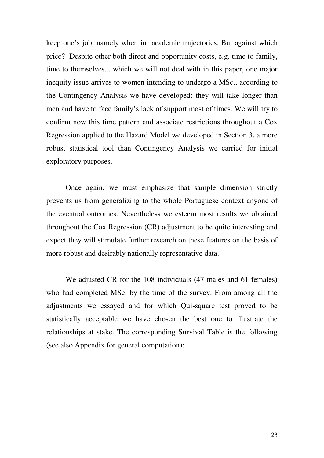keep one's job, namely when in academic trajectories. But against which price? Despite other both direct and opportunity costs, e.g. time to family, time to themselves... which we will not deal with in this paper, one major inequity issue arrives to women intending to undergo a MSc., according to the Contingency Analysis we have developed: they will take longer than men and have to face family's lack of support most of times. We will try to confirm now this time pattern and associate restrictions throughout a Cox Regression applied to the Hazard Model we developed in Section 3, a more robust statistical tool than Contingency Analysis we carried for initial exploratory purposes.

 Once again, we must emphasize that sample dimension strictly prevents us from generalizing to the whole Portuguese context anyone of the eventual outcomes. Nevertheless we esteem most results we obtained throughout the Cox Regression (CR) adjustment to be quite interesting and expect they will stimulate further research on these features on the basis of more robust and desirably nationally representative data.

 We adjusted CR for the 108 individuals (47 males and 61 females) who had completed MSc. by the time of the survey. From among all the adjustments we essayed and for which Qui-square test proved to be statistically acceptable we have chosen the best one to illustrate the relationships at stake. The corresponding Survival Table is the following (see also Appendix for general computation):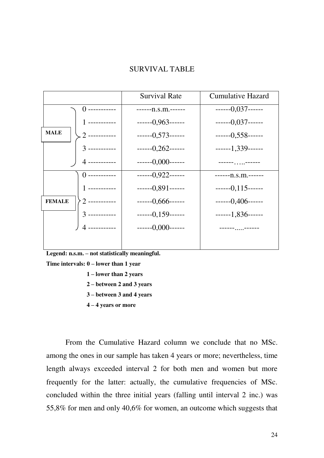#### SURVIVAL TABLE

|                |                  | <b>Survival Rate</b> | <b>Cumulative Hazard</b>     |  |  |
|----------------|------------------|----------------------|------------------------------|--|--|
| () ----------- |                  | $---n.s.m.---$       | $---0,037---$                |  |  |
|                | ----------       | $---0,963---$        | $---0,037---$                |  |  |
| <b>MALE</b>    | . 2 -----------  | $---0,573---$        | $---0,558---$                |  |  |
|                | $3$ -----------  | $---0,262---$        | $---1,339---$                |  |  |
|                | 4 ------------   | $---0,000---$        | ------ <sub>---</sub> ------ |  |  |
|                | () -----------   | $---0,922---$        | $---n.s.m.---$               |  |  |
|                | 1 -----------    | $---0.891---$        | $---0,115---$                |  |  |
| <b>FEMALE</b>  | $2$ ------------ | $---0,666---$        | $---0,406---$                |  |  |
|                | $3$ -----------  | $---0,159---$        | $---1,836---$                |  |  |
|                | 4 -----------    | $---0,000---$        | ------------                 |  |  |
|                |                  |                      |                              |  |  |

**Legend: n.s.m. – not statistically meaningful.** 

**Time intervals: 0 – lower than 1 year** 

- **1 – lower than 2 years**
- **2 – between 2 and 3 years**
- **3 – between 3 and 4 years**
- **4 – 4 years or more**

 From the Cumulative Hazard column we conclude that no MSc. among the ones in our sample has taken 4 years or more; nevertheless, time length always exceeded interval 2 for both men and women but more frequently for the latter: actually, the cumulative frequencies of MSc. concluded within the three initial years (falling until interval 2 inc.) was 55,8% for men and only 40,6% for women, an outcome which suggests that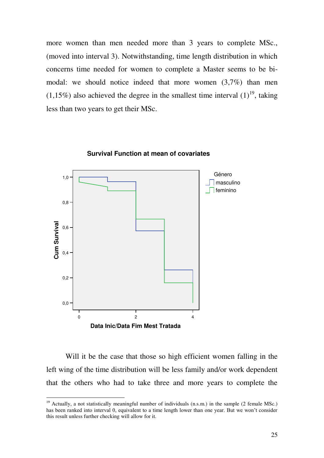more women than men needed more than 3 years to complete MSc., (moved into interval 3). Notwithstanding, time length distribution in which concerns time needed for women to complete a Master seems to be bimodal: we should notice indeed that more women (3,7%) than men (1,15%) also achieved the degree in the smallest time interval  $(1)^{19}$ , taking less than two years to get their MSc.



**Survival Function at mean of covariates**

Will it be the case that those so high efficient women falling in the left wing of the time distribution will be less family and/or work dependent that the others who had to take three and more years to complete the

<sup>&</sup>lt;sup>19</sup> Actually, a not statistically meaningful number of individuals (n.s.m.) in the sample (2 female MSc.) has been ranked into interval 0, equivalent to a time length lower than one year. But we won't consider this result unless further checking will allow for it.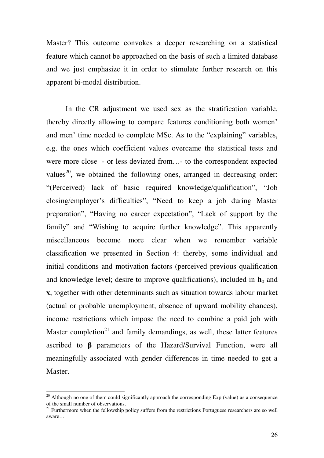Master? This outcome convokes a deeper researching on a statistical feature which cannot be approached on the basis of such a limited database and we just emphasize it in order to stimulate further research on this apparent bi-modal distribution.

In the CR adjustment we used sex as the stratification variable, thereby directly allowing to compare features conditioning both women' and men' time needed to complete MSc. As to the "explaining" variables, e.g. the ones which coefficient values overcame the statistical tests and were more close - or less deviated from…- to the correspondent expected values<sup>20</sup>, we obtained the following ones, arranged in decreasing order: "(Perceived) lack of basic required knowledge/qualification", "Job closing/employer's difficulties", "Need to keep a job during Master preparation", "Having no career expectation", "Lack of support by the family" and "Wishing to acquire further knowledge". This apparently miscellaneous become more clear when we remember variable classification we presented in Section 4: thereby, some individual and initial conditions and motivation factors (perceived previous qualification and knowledge level; desire to improve qualifications), included in  $h_0$  and **x**, together with other determinants such as situation towards labour market (actual or probable unemployment, absence of upward mobility chances), income restrictions which impose the need to combine a paid job with Master completion<sup>21</sup> and family demandings, as well, these latter features ascribed to **β** parameters of the Hazard/Survival Function, were all meaningfully associated with gender differences in time needed to get a Master.

 $20$  Although no one of them could significantly approach the corresponding Exp (value) as a consequence of the small number of observations.

 $21$  Furthermore when the fellowship policy suffers from the restrictions Portuguese researchers are so well aware…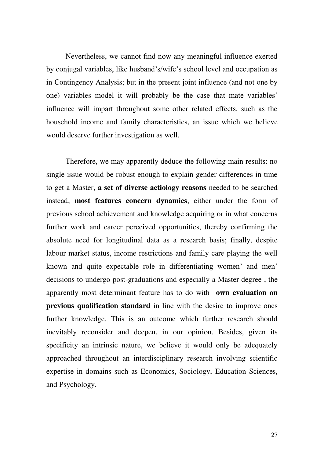Nevertheless, we cannot find now any meaningful influence exerted by conjugal variables, like husband's/wife's school level and occupation as in Contingency Analysis; but in the present joint influence (and not one by one) variables model it will probably be the case that mate variables' influence will impart throughout some other related effects, such as the household income and family characteristics, an issue which we believe would deserve further investigation as well.

 Therefore, we may apparently deduce the following main results: no single issue would be robust enough to explain gender differences in time to get a Master, **a set of diverse aetiology reasons** needed to be searched instead; **most features concern dynamics**, either under the form of previous school achievement and knowledge acquiring or in what concerns further work and career perceived opportunities, thereby confirming the absolute need for longitudinal data as a research basis; finally, despite labour market status, income restrictions and family care playing the well known and quite expectable role in differentiating women' and men' decisions to undergo post-graduations and especially a Master degree , the apparently most determinant feature has to do with **own evaluation on previous qualification standard** in line with the desire to improve ones further knowledge. This is an outcome which further research should inevitably reconsider and deepen, in our opinion. Besides, given its specificity an intrinsic nature, we believe it would only be adequately approached throughout an interdisciplinary research involving scientific expertise in domains such as Economics, Sociology, Education Sciences, and Psychology.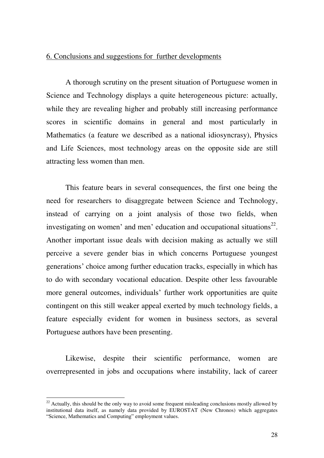#### 6. Conclusions and suggestions for further developments

 A thorough scrutiny on the present situation of Portuguese women in Science and Technology displays a quite heterogeneous picture: actually, while they are revealing higher and probably still increasing performance scores in scientific domains in general and most particularly in Mathematics (a feature we described as a national idiosyncrasy), Physics and Life Sciences, most technology areas on the opposite side are still attracting less women than men.

This feature bears in several consequences, the first one being the need for researchers to disaggregate between Science and Technology, instead of carrying on a joint analysis of those two fields, when investigating on women' and men' education and occupational situations $^{22}$ . Another important issue deals with decision making as actually we still perceive a severe gender bias in which concerns Portuguese youngest generations' choice among further education tracks, especially in which has to do with secondary vocational education. Despite other less favourable more general outcomes, individuals' further work opportunities are quite contingent on this still weaker appeal exerted by much technology fields, a feature especially evident for women in business sectors, as several Portuguese authors have been presenting.

Likewise, despite their scientific performance, women are overrepresented in jobs and occupations where instability, lack of career

 $22$  Actually, this should be the only way to avoid some frequent misleading conclusions mostly allowed by institutional data itself, as namely data provided by EUROSTAT (New Chronos) which aggregates "Science, Mathematics and Computing" employment values.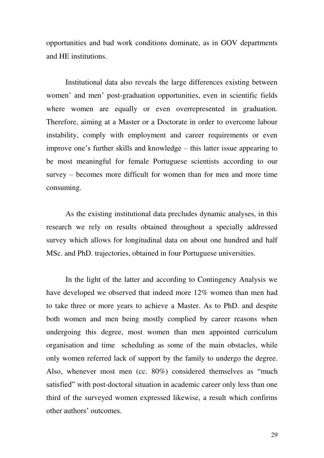opportunities and bad work conditions dominate, as in GOV departments and HE institutions.

Institutional data also reveals the large differences existing between women' and men' post-graduation opportunities, even in scientific fields where women are equally or even overrepresented in graduation. Therefore, aiming at a Master or a Doctorate in order to overcome labour instability, comply with employment and career requirements or even improve one's further skills and knowledge – this latter issue appearing to be most meaningful for female Portuguese scientists according to our survey – becomes more difficult for women than for men and more time consuming.

As the existing institutional data precludes dynamic analyses, in this research we rely on results obtained throughout a specially addressed survey which allows for longitudinal data on about one hundred and half MSc. and PhD. trajectories, obtained in four Portuguese universities.

In the light of the latter and according to Contingency Analysis we have developed we observed that indeed more 12% women than men had to take three or more years to achieve a Master. As to PhD. and despite both women and men being mostly complied by career reasons when undergoing this degree, most women than men appointed curriculum organisation and time scheduling as some of the main obstacles, while only women referred lack of support by the family to undergo the degree. Also, whenever most men (cc. 80%) considered themselves as "much satisfied" with post-doctoral situation in academic career only less than one third of the surveyed women expressed likewise, a result which confirms other authors' outcomes.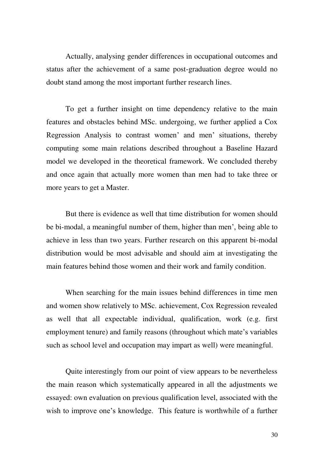Actually, analysing gender differences in occupational outcomes and status after the achievement of a same post-graduation degree would no doubt stand among the most important further research lines.

To get a further insight on time dependency relative to the main features and obstacles behind MSc. undergoing, we further applied a Cox Regression Analysis to contrast women' and men' situations, thereby computing some main relations described throughout a Baseline Hazard model we developed in the theoretical framework. We concluded thereby and once again that actually more women than men had to take three or more years to get a Master.

But there is evidence as well that time distribution for women should be bi-modal, a meaningful number of them, higher than men', being able to achieve in less than two years. Further research on this apparent bi-modal distribution would be most advisable and should aim at investigating the main features behind those women and their work and family condition.

When searching for the main issues behind differences in time men and women show relatively to MSc. achievement, Cox Regression revealed as well that all expectable individual, qualification, work (e.g. first employment tenure) and family reasons (throughout which mate's variables such as school level and occupation may impart as well) were meaningful.

Quite interestingly from our point of view appears to be nevertheless the main reason which systematically appeared in all the adjustments we essayed: own evaluation on previous qualification level, associated with the wish to improve one's knowledge. This feature is worthwhile of a further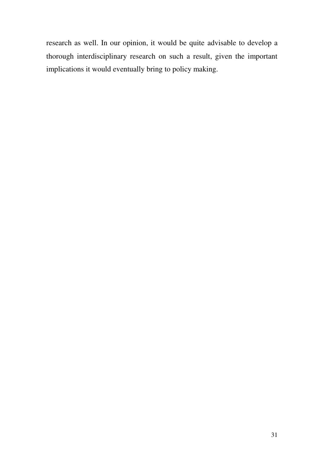research as well. In our opinion, it would be quite advisable to develop a thorough interdisciplinary research on such a result, given the important implications it would eventually bring to policy making.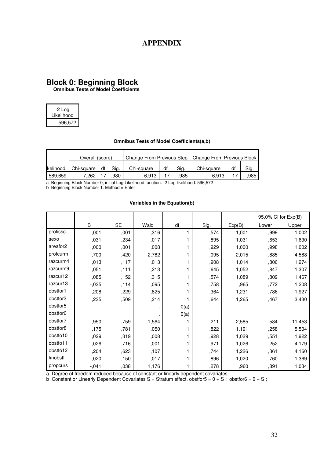### **APPENDIX**

#### **Block 0: Beginning Block**

 **Omnibus Tests of Model Coefficients** 

| -2 Log     |
|------------|
| Likelihood |
| 596,572    |

#### **Omnibus Tests of Model Coefficients(a,b)**

|                  | Overall (score) |    |      | Change From Previous Step |    |      | Change From Previous Block |    |      |
|------------------|-----------------|----|------|---------------------------|----|------|----------------------------|----|------|
| <b>Ikelihood</b> | Chi-square      | df | Sig. | Chi-square                | df | Sig. | Chi-square                 | df | Sig. |
| 589,659          | 7.262           |    | .980 | 6.913                     |    | .985 | 6.913                      |    | .985 |

a Beginning Block Number 0, initial Log Likelihood function: -2 Log likelihood: 596,572

b Beginning Block Number 1. Method = Enter

#### **Variables in the Equation(b)**

|                      |          |           |       |      |      |        | 95,0% CI for Exp(B) |        |
|----------------------|----------|-----------|-------|------|------|--------|---------------------|--------|
|                      | B        | <b>SE</b> | Wald  | df   | Sig. | Exp(B) | Lower               | Upper  |
| profissc             | ,001     | ,001      | ,316  |      | ,574 | 1,001  | ,999                | 1,002  |
| sexo                 | ,031     | ,234      | ,017  |      | ,895 | 1,031  | ,653                | 1,630  |
| areafor <sub>2</sub> | ,000     | ,001      | ,008  |      | ,929 | 1,000  | ,998                | 1,002  |
| profcurm             | ,700     | ,420      | 2,782 |      | ,095 | 2,015  | ,885                | 4,588  |
| razcurm4             | ,013     | ,117      | ,013  |      | ,908 | 1,014  | ,806                | 1,274  |
| razcurm9             | ,051     | ,111      | ,213  |      | ,645 | 1,052  | ,847                | 1,307  |
| razcur12             | ,085     | ,152      | ,315  |      | ,574 | 1,089  | ,809                | 1,467  |
| razcur13             | $-0.035$ | ,114      | ,095  |      | ,758 | ,965   | ,772                | 1,208  |
| obstfor1             | ,208     | ,229      | ,825  |      | ,364 | 1,231  | ,786                | 1,927  |
| obstfor3             | ,235     | ,509      | ,214  |      | ,644 | 1,265  | ,467                | 3,430  |
| obstfor5             |          |           |       | 0(a) |      |        |                     |        |
| obstfor6             |          |           |       | 0(a) |      |        |                     |        |
| obstfor7             | ,950     | ,759      | 1,564 |      | ,211 | 2,585  | ,584                | 11,453 |
| obstfor8             | ,175     | ,781      | ,050  |      | ,822 | 1,191  | ,258                | 5,504  |
| obstfo10             | ,029     | ,319      | ,008  |      | ,928 | 1,029  | ,551                | 1,922  |
| obstfo11             | ,026     | ,716      | ,001  |      | ,971 | 1,026  | ,252                | 4,179  |
| obstfo12             | ,204     | ,623      | ,107  |      | ,744 | 1,226  | ,361                | 4,160  |
| finobstf             | ,020     | ,150      | ,017  |      | ,896 | 1,020  | ,760                | 1,369  |
| propcurs             | $-0.041$ | ,038      | 1,176 |      | ,278 | ,960   | ,891                | 1,034  |

a Degree of freedom reduced because of constant or linearly dependent covariates

b Constant or Linearly Dependent Covariates S = Stratum effect. obstfor5 =  $0 + S$ ; obstfor6 =  $0 + S$ ;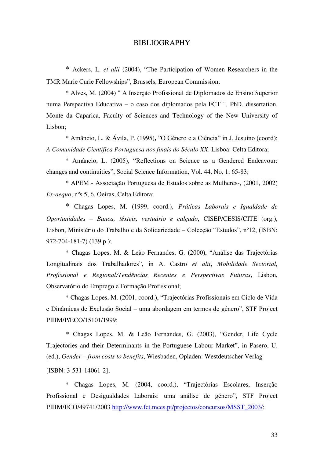#### BIBLIOGRAPHY

\* Ackers, L. *et alii* (2004), "The Participation of Women Researchers in the TMR Marie Curie Fellowships", Brussels, European Commission;

\* Alves, M. (2004) " A Inserção Profissional de Diplomados de Ensino Superior numa Perspectiva Educativa – o caso dos diplomados pela FCT ", PhD. dissertation, Monte da Caparica, Faculty of Sciences and Technology of the New University of Lisbon;

\* Amâncio, L. & Ávila, P. (1995)**,** "O Género e a Ciência" in J. Jesuíno (coord): *A Comunidade Científica Portuguesa nos finais do Século XX*. Lisboa: Celta Editora;

\* Amâncio, L. (2005), "Reflections on Science as a Gendered Endeavour: changes and continuities", Social Science Information, Vol. 44, No. 1, 65-83;

\* APEM - Associação Portuguesa de Estudos sobre as Mulheres-, (2001, 2002) *Ex-aequo*, nºs 5, 6, Oeiras, Celta Editora;

\* Chagas Lopes, M. (1999, coord.), *Práticas Laborais e Igualdade de Oportunidades – Banca, têxteis, vestuário e calçado*, CISEP/CESIS/CITE (org.), Lisbon, Ministério do Trabalho e da Solidariedade – Colecção "Estudos", nº12, (ISBN: 972-704-181-7) (139 p.);

\* Chagas Lopes, M. & Leão Fernandes, G. (2000), "Análise das Trajectórias Longitudinais dos Trabalhadores", in A. Castro *et alii*, *Mobilidade Sectorial, Profissional e Regional:Tendências Recentes e Perspectivas Futuras*, Lisbon, Observatório do Emprego e Formação Profissional;

\* Chagas Lopes, M. (2001, coord.), "Trajectórias Profissionais em Ciclo de Vida e Dinâmicas de Exclusão Social – uma abordagem em termos de género", STF Project PIHM/P/ECO/15101/1999;

\* Chagas Lopes, M. & Leão Fernandes, G. (2003), "Gender, Life Cycle Trajectories and their Determinants in the Portuguese Labour Market", in Pasero, U. (ed.), *Gender – from costs to benefits*, Wiesbaden, Opladen: Westdeutscher Verlag [ISBN: 3-531-14061-2];

\* Chagas Lopes, M. (2004, coord.), "Trajectórias Escolares, Inserção Profissional e Desigualdades Laborais: uma análise de género", STF Project PIHM/ECO/49741/2003 [http://www.fct.mces.pt/projectos/concursos/MSST\\_2003/;](http://www.fct.mces.pt/projectos/concursos/MSST_2003/)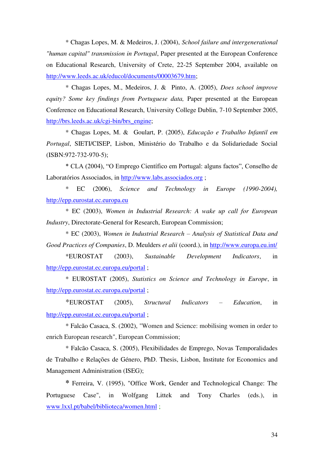\* Chagas Lopes, M. & Medeiros, J. (2004), *School failure and intergenerational "human capital" transmission in Portugal*, Paper presented at the European Conference on Educational Research, University of Crete, 22-25 September 2004, available on [http://www.leeds.ac.uk/educol/documents/00003679.htm;](http://www.leeds.ac.uk/educol/documents/00003679.htm)

\* Chagas Lopes, M., Medeiros, J. & Pinto, A. (2005), *Does school improve equity? Some key findings from Portuguese data,* Paper presented at the European Conference on Educational Research, University College Dublin, 7-10 September 2005, [http://brs.leeds.ac.uk/cgi-bin/brs\\_engine;](http://brs.leeds.ac.uk/cgi-bin/brs_engine)

\* Chagas Lopes, M. & Goulart, P. (2005), *Educação e Trabalho Infantil em Portugal*, SIETI/CISEP, Lisbon, Ministério do Trabalho e da Solidariedade Social (ISBN:972-732-970-5);

\* CLA (2004), "O Emprego Científico em Portugal: alguns factos", Conselho de Laboratórios Associados, in [http://www.labs.associados.org](http://www.labs.associados.org/) ;

\* EC (2006), *Science and Technology in Europe (1990-2004),* [http://epp.eurostat.ec.europa.eu](http://epp.eurostat.ec.europa.eu/)

\* EC (2003), *Women in Industrial Research: A wake up call for European Industry*, Directorate-General for Research, European Commission;

\* EC (2003), *Women in Industrial Research – Analysis of Statistical Data and Good Practices of Companies*, D. Meulders *et alii* (coord.), in<http://www.europa.eu.int/>

\*EUROSTAT (2003), *Sustainable Development Indicators*, in <http://epp.eurostat.ec.europa.eu/portal>;

\* EUROSTAT (2005), *Statistics on Science and Technology in Europe*, in <http://epp.eurostat.ec.europa.eu/portal>;

\*EUROSTAT (2005), *Structural Indicators – Education*, in <http://epp.eurostat.ec.europa.eu/portal>;

\* Falcão Casaca, S. (2002), "Women and Science: mobilising women in order to enrich European research", European Commission;

\* Falcão Casaca, S. (2005), Flexibilidades de Emprego, Novas Temporalidades de Trabalho e Relações de Género, PhD. Thesis, Lisbon, Institute for Economics and Management Administration (ISEG);

**\*** Ferreira, V. (1995), "Office Work, Gender and Technological Change: The Portuguese Case", in Wolfgang Littek and Tony Charles (eds.), in [www.lxxl.pt/babel/biblioteca/women.html](http://www.lxxl.pt/babel/biblioteca/women.html) ;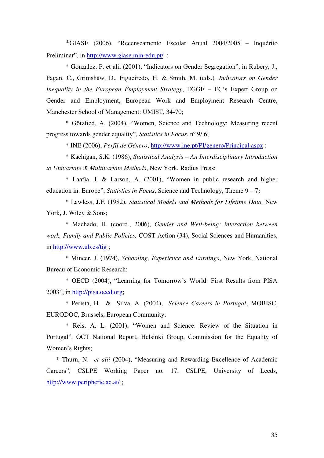\*GIASE (2006), "Recenseamento Escolar Anual 2004/2005 – Inquérito Preliminar", in <http://www.giase.min-edu.pt/>;

\* Gonzalez, P. et alii (2001), "Indicators on Gender Segregation", in Rubery, J., Fagan, C., Grimshaw, D., Figueiredo, H. & Smith, M. (eds.)*, Indicators on Gender Inequality in the European Employment Strategy*, EGGE – EC's Expert Group on Gender and Employment, European Work and Employment Research Centre, Manchester School of Management: UMIST, 34-70;

\* Götzfied, A. (2004), "Women, Science and Technology: Measuring recent progress towards gender equality", *Statistics in Focus*, nº 9/ 6;

\* INE (2006), *Perfil de Género*, <http://www.ine.pt/PI/genero/Principal.aspx> ;

\* Kachigan, S.K. (1986), *Statistical Analysis – An Interdisciplinary Introduction to Univariate & Multivariate Methods*, New York, Radius Press;

\* Laafia, I. & Larson, A. (2001), "Women in public research and higher education in. Europe", *Statistics in Focus*, Science and Technology, Theme 9 – 7**;**

\* Lawless, J.F. (1982), *Statistical Models and Methods for Lifetime Data,* New York, J. Wiley & Sons;

\* Machado, H. (coord., 2006), *Gender and Well-being: interaction between work, Family and Public Policies,* COST Action (34), Social Sciences and Humanities, in<http://www.ub.es/tig> ;

\* Mincer, J. (1974), *Schooling, Experience and Earnings*, New York, National Bureau of Economic Research;

\* OECD (2004), "Learning for Tomorrow's World: First Results from PISA 2003", in [http://pisa.oecd.org;](http://pisa.oecd.org/)

\* Perista, H. & Silva, A. (2004), *Science Careers in Portugal*, MOBISC, EURODOC, Brussels, European Community;

\* Reis, A. L. (2001), "Women and Science: Review of the Situation in Portugal", OCT National Report, Helsinki Group, Commission for the Equality of Women's Rights;

\* Thurn, N. *et alii* (2004), "Measuring and Rewarding Excellence of Academic Careers", CSLPE Working Paper no. 17, CSLPE, University of Leeds, <http://www.peripherie.ac.at/>;